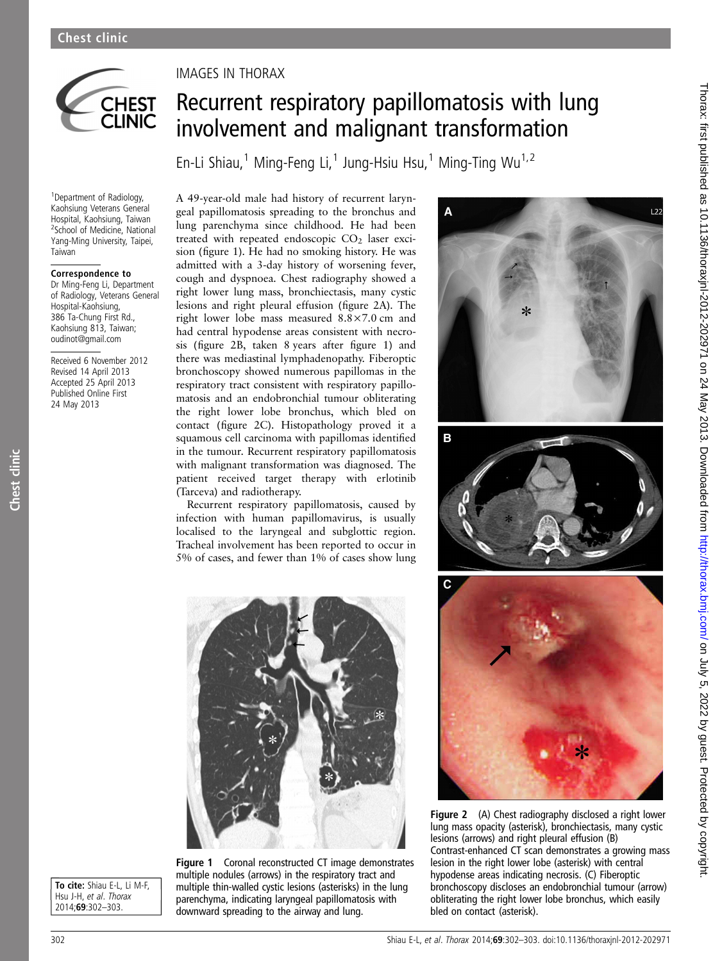

<sup>1</sup> Department of Radiology, Kaohsiung Veterans General Hospital, Kaohsiung, Taiwan <sup>2</sup>School of Medicine, National Yang-Ming University, Taipei, Taiwan

#### Correspondence to

Dr Ming-Feng Li, Department of Radiology, Veterans General Hospital-Kaohsiung, 386 Ta-Chung First Rd., Kaohsiung 813, Taiwan; oudinot@gmail.com

Received 6 November 2012 Revised 14 April 2013 Accepted 25 April 2013 Published Online First 24 May 2013

Chest clinic

Chest clinic

### IMAGES IN THORAX

# Recurrent respiratory papillomatosis with lung involvement and malignant transformation

En-Li Shiau,<sup>1</sup> Ming-Feng Li,<sup>1</sup> Jung-Hsiu Hsu,<sup>1</sup> Ming-Ting Wu<sup>1,2</sup>

A 49-year-old male had history of recurrent laryngeal papillomatosis spreading to the bronchus and lung parenchyma since childhood. He had been treated with repeated endoscopic  $CO<sub>2</sub>$  laser excision (figure 1). He had no smoking history. He was admitted with a 3-day history of worsening fever, cough and dyspnoea. Chest radiography showed a right lower lung mass, bronchiectasis, many cystic lesions and right pleural effusion (figure 2A). The right lower lobe mass measured 8.8×7.0 cm and had central hypodense areas consistent with necrosis (figure 2B, taken 8 years after figure 1) and there was mediastinal lymphadenopathy. Fiberoptic bronchoscopy showed numerous papillomas in the respiratory tract consistent with respiratory papillomatosis and an endobronchial tumour obliterating the right lower lobe bronchus, which bled on contact (figure 2C). Histopathology proved it a squamous cell carcinoma with papillomas identified in the tumour. Recurrent respiratory papillomatosis with malignant transformation was diagnosed. The patient received target therapy with erlotinib (Tarceva) and radiotherapy.

Recurrent respiratory papillomatosis, caused by infection with human papillomavirus, is usually localised to the laryngeal and subglottic region. Tracheal involvement has been reported to occur in 5% of cases, and fewer than 1% of cases show lung



To cite: Shiau E-L, Li M-F, Hsu J-H, et al. Thorax 2014;69:302–303.

Figure 1 Coronal reconstructed CT image demonstrates multiple nodules (arrows) in the respiratory tract and multiple thin-walled cystic lesions (asterisks) in the lung parenchyma, indicating laryngeal papillomatosis with downward spreading to the airway and lung.



Figure 2 (A) Chest radiography disclosed a right lower lung mass opacity (asterisk), bronchiectasis, many cystic lesions (arrows) and right pleural effusion (B) Contrast-enhanced CT scan demonstrates a growing mass lesion in the right lower lobe (asterisk) with central hypodense areas indicating necrosis. (C) Fiberoptic bronchoscopy discloses an endobronchial tumour (arrow) obliterating the right lower lobe bronchus, which easily bled on contact (asterisk).